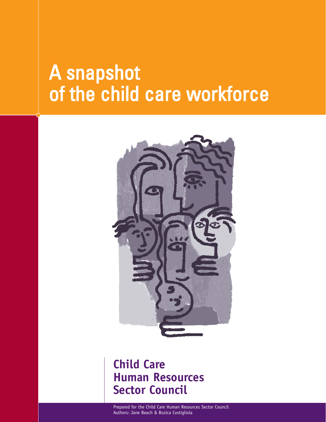# A snapshot of the child care workforce



# **Child Care Human Resources Sector Council**

Prepared for the Child Care Human Resources Sector Council Authors: Jane Beach & Bozica Costigliola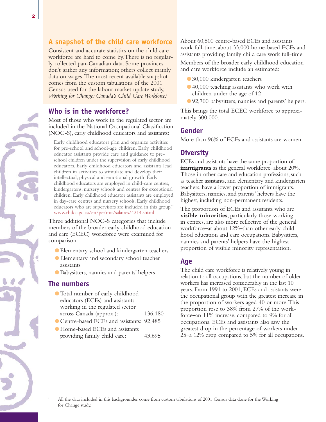## **A snapshot of the child care workforce**

Consistent and accurate statistics on the child care workforce are hard to come by.There is no regularly collected pan-Canadian data. Some provinces don't gather any information; others collect mainly data on wages.The most recent available snapshot comes from the custom tabulations of the 2001 Census used for the labour market update study, *Working for Change: Canada's Child Care Workforce.*<sup>i</sup>

# **Who is in the workforce?**

Most of those who work in the regulated sector are included in the National Occupational Classification (NOC-S), early childhood educators and assistants:

Early childhood educators plan and organize activities for pre-school and school-age children. Early childhood educator assistants provide care and guidance to preschool children under the supervision of early childhood educators. Early childhood educators and assistants lead children in activities to stimulate and develop their intellectual, physical and emotional growth. Early childhood educators are employed in child-care centres, kindergartens, nursery schools and centres for exceptional children. Early childhood educator assistants are employed in day-care centres and nursery schools. Early childhood educators who are supervisors are included in this group." www.rhdcc.gc.ca/en/pe/imt/salaires/4214.shtml

Three additional NOC-S categories that include members of the broader early childhood education and care (ECEC) workforce were examined for comparison:

- Elementary school and kindergarten teachers
- Elementary and secondary school teacher assistants
- Babysitters, nannies and parents' helpers

#### **The numbers**

- Total number of early childhood educators (ECEs) and assistants working in the regulated sector across Canada (approx.): 136,180
- Centre-based ECEs and assistants: 92,485
- ●Home-based ECEs and assistants providing family child care: 43,695

About 60,500 centre-based ECEs and assistants work full-time; about 33,000 home-based ECEs and assistants providing family child care work full-time.

Members of the broader early childhood education and care workforce include an estimated:

- 30,000 kindergarten teachers
- 40,000 teaching assistants who work with children under the age of 12
- 92,700 babysitters, nannies and parents' helpers.

This brings the total ECEC workforce to approximately 300,000.

#### **Gender**

More than 96% of ECEs and assistants are women.

#### **Diversity**

ECEs and assistants have the same proportion of **immigrants** as the general workforce–about 20%. Those in other care and education professions, such as teacher assistants, and elementary and kindergarten teachers, have a lower proportion of immigrants. Babysitters, nannies, and parents' helpers have the highest, including non-permanent residents.

The proportion of ECEs and assistants who are **visible minorities**, particularly those working in centres, are also more reflective of the general workforce–at about 12%–than other early childhood education and care occupations. Babysitters, nannies and parents' helpers have the highest proportion of visible minority representation.

#### **Age**

The child care workforce is relatively young in relation to all occupations, but the number of older workers has increased considerably in the last 10 years. From 1991 to 2001, ECEs and assistants were the occupational group with the greatest increase in the proportion of workers aged 40 or more.This proportion rose to 38% from 27% of the workforce–an 11% increase, compared to 9% for all occupations. ECEs and assistants also saw the greatest drop in the percentage of workers under 25–a 12% drop compared to 5% for all occupations.

All the data included in this backgrounder come from custom tabulations of 2001 Census data done for the Working for Change study.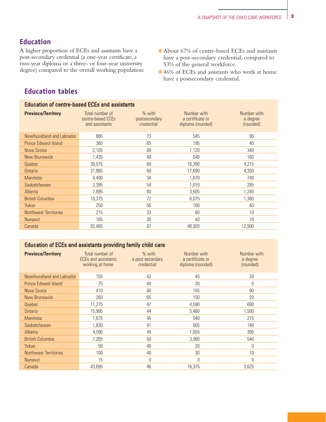# **Education**

A higher proportion of ECEs and assistants have a post-secondary credential (a one-year certificate, a two-year diploma or a three- or four-year university degree) compared to the overall working population:

- About 67% of centre-based ECEs and assistants have a post-secondary credential, compared to 53% of the general workforce.
- 46% of ECEs and assistants who work at home have a postsecondary credential.

# **Education tables**

#### Education of centre-based ECEs and assistants

| <b>Province/Territory</b>    | Total number of<br>centre-based ECEs<br>and assistants | $%$ with<br>postsecondary<br>credential | Number with<br>a certificate or<br>diploma (rounded) | Number with<br>a degree<br>(rounded) |
|------------------------------|--------------------------------------------------------|-----------------------------------------|------------------------------------------------------|--------------------------------------|
| Newfoundland and Labrador    | 865                                                    | 73                                      | 545                                                  | 90                                   |
| <b>Prince Edward Island</b>  | 360                                                    | 65                                      | 195                                                  | 40                                   |
| Nova Scotia                  | 2,105                                                  | 69                                      | 1,120                                                | 340                                  |
| <b>New Brunswick</b>         | 1,435                                                  | 49                                      | 540                                                  | 160                                  |
| Quebec                       | 30,075                                                 | 69                                      | 16,390                                               | 4,215                                |
| Ontario                      | 31,865                                                 | 69                                      | 17,690                                               | 4,350                                |
| <b>Manitoba</b>              | 4,490                                                  | 54                                      | 1,670                                                | 740                                  |
| Saskatchewan                 | 2,395                                                  | 54                                      | 1,010                                                | 285                                  |
| Alberta                      | 7,895                                                  | 60                                      | 3,505                                                | 1,240                                |
| <b>British Columbia</b>      | 10,375                                                 | 72                                      | 6,075                                                | 1,380                                |
| Yukon                        | 250                                                    | 56                                      | 100                                                  | 40                                   |
| <b>Northwest Territories</b> | 215                                                    | 33                                      | 60                                                   | 10                                   |
| <b>Nunavut</b>               | 165                                                    | 30                                      | 40                                                   | 10                                   |
| Canada                       | 92.485                                                 | 67                                      | 48.920                                               | 12.900                               |

#### Education of ECEs and assistants providing family child care

| <b>Province/Territory</b>    | Total number of<br><b>ECEs and assistants</b><br>working at home | $%$ with<br>a post secondary<br>credential | Number with<br>a certificate or<br>diploma (rounded) | Number with<br>a degree<br>(rounded) |
|------------------------------|------------------------------------------------------------------|--------------------------------------------|------------------------------------------------------|--------------------------------------|
| Newfoundland and Labrador    | 155                                                              | 42                                         | 45                                                   | 20                                   |
| <b>Prince Edward Island</b>  | 75                                                               | 40                                         | 30                                                   | 0                                    |
| Nova Scotia                  | 410                                                              | 60                                         | 155                                                  | 90                                   |
| <b>New Brunswick</b>         | 260                                                              | 65                                         | 150                                                  | 20                                   |
| Quebec                       | 11,275                                                           | 47                                         | 4,590                                                | 690                                  |
| Ontario                      | 15,995                                                           | 44                                         | 5,460                                                | 1,500                                |
| <b>Manitoba</b>              | 1,675                                                            | 45                                         | 540                                                  | 215                                  |
| Saskatchewan                 | 1,830                                                            | 41                                         | 605                                                  | 140                                  |
| Alberta                      | 4,590                                                            | 45                                         | 1,655                                                | 395                                  |
| <b>British Columbia</b>      | 7,265                                                            | 50                                         | 3,080                                                | 540                                  |
| Yukon                        | 50                                                               | 40                                         | 20                                                   | 0                                    |
| <b>Northwest Territories</b> | 100                                                              | 40                                         | 30                                                   | 10 <sup>1</sup>                      |
| <b>Nunavut</b>               | 15                                                               | $\Omega$                                   | $\theta$                                             | $\theta$                             |
| Canada                       | 43.695                                                           | 46                                         | 16,375                                               | 3,625                                |